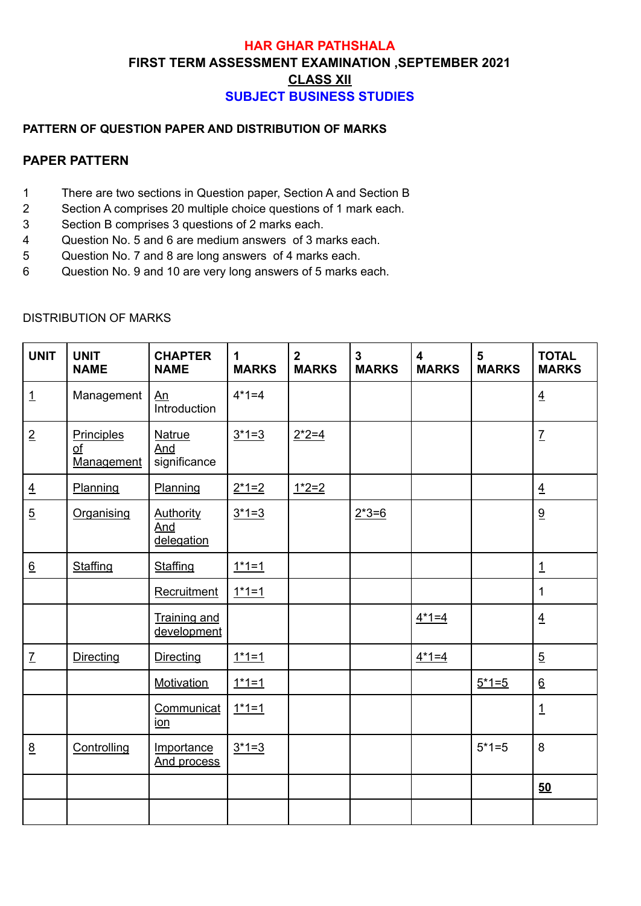## **HAR GHAR PATHSHALA FIRST TERM ASSESSMENT EXAMINATION ,SEPTEMBER 2021 [CLASS XII](https://docs.google.com/document/u/0/d/19BCiHDf7p4eih-Kprj4gRG3myATsaRis9Gs0txP405Y/edit) SUBJECT BUSINESS STUDIES**

### **PATTERN OF QUESTION PAPER AND DISTRIBUTION OF MARKS**

#### **PAPER PATTERN**

- 1 There are two sections in Question paper, Section A and Section B
- 2 Section A comprises 20 multiple choice questions of 1 mark each.
- 3 Section B comprises 3 questions of 2 marks each.
- 4 Question No. 5 and 6 are medium answers of 3 marks each.
- 5 Question No. 7 and 8 are long answers of 4 marks each.
- 6 Question No. 9 and 10 are very long answers of 5 marks each.

| <b>UNIT</b>      | <b>UNIT</b><br><b>NAME</b>           | <b>CHAPTER</b><br><b>NAME</b>         | 1<br><b>MARKS</b> | $\overline{2}$<br><b>MARKS</b> | $\overline{3}$<br><b>MARKS</b> | $\overline{\mathbf{4}}$<br><b>MARKS</b> | 5<br><b>MARKS</b> | <b>TOTAL</b><br><b>MARKS</b> |
|------------------|--------------------------------------|---------------------------------------|-------------------|--------------------------------|--------------------------------|-----------------------------------------|-------------------|------------------------------|
| $\overline{1}$   | Management                           | An<br>Introduction                    | $4*1=4$           |                                |                                |                                         |                   | $\overline{4}$               |
| $\overline{2}$   | Principles<br>$\Omega$<br>Management | Natrue<br>And<br>significance         | $3*1=3$           | $2*2=4$                        |                                |                                         |                   | $\underline{\mathsf{Z}}$     |
| $\overline{4}$   | Planning                             | Planning                              | $2*1=2$           | $1*2=2$                        |                                |                                         |                   | $\overline{4}$               |
| $\overline{5}$   | Organising                           | <b>Authority</b><br>And<br>delegation | $3*1=3$           |                                | $2*3=6$                        |                                         | 9                 |                              |
| $6 \overline{6}$ | Staffing                             | Staffing                              | $1*1=1$           |                                |                                |                                         |                   | $\mathbf{1}$                 |
|                  |                                      | Recruitment                           | $1*1=1$           |                                |                                |                                         |                   | 1                            |
|                  |                                      | <b>Training and</b><br>development    |                   |                                |                                | $4*1=4$                                 |                   | $\overline{4}$               |
| $\underline{7}$  | <b>Directing</b>                     | <b>Directing</b>                      | $1*1=1$           |                                |                                | $4*1=4$                                 |                   | $\overline{5}$               |
|                  |                                      | <b>Motivation</b>                     | $1*1=1$           |                                |                                |                                         | $5*1=5$           | $\underline{6}$              |
|                  |                                      | Communicat<br><u>ion</u>              | $1*1=1$           |                                |                                |                                         |                   | $\mathbf{1}$                 |
| 8                | Controlling                          | Importance<br>And process             | $3*1=3$           |                                |                                |                                         | $5*1=5$           | 8                            |
|                  |                                      |                                       |                   |                                |                                |                                         |                   | 50                           |
|                  |                                      |                                       |                   |                                |                                |                                         |                   |                              |

#### DISTRIBUTION OF MARKS